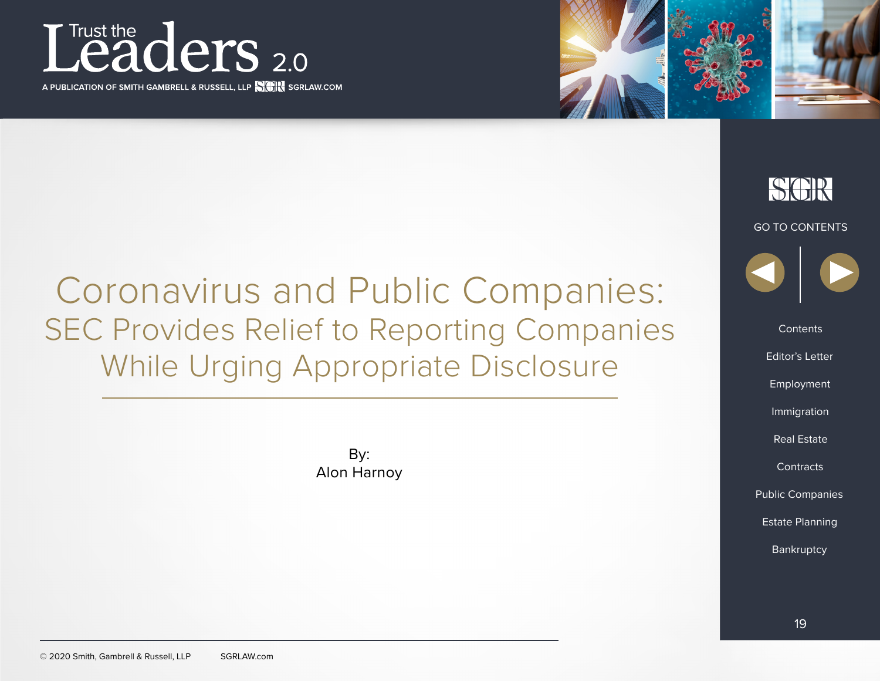

A PUBLICATION OF SMITH GAMBRELL & RUSSELL, LLP **NAMES** SGRLAW.COM



Coronavirus and Public Companies: SEC Provides Relief to Reporting Companies While Urging Appropriate Disclosure

> By: Alon Harnoy

GO TO CONTENTS **Contents** Editor's Letter Real Estate Employment<br>Immigration<br>Real Estate<br>Contracts Estate Planning Public Companies<br>Estate Planning<br>Bankruptcy

SCIR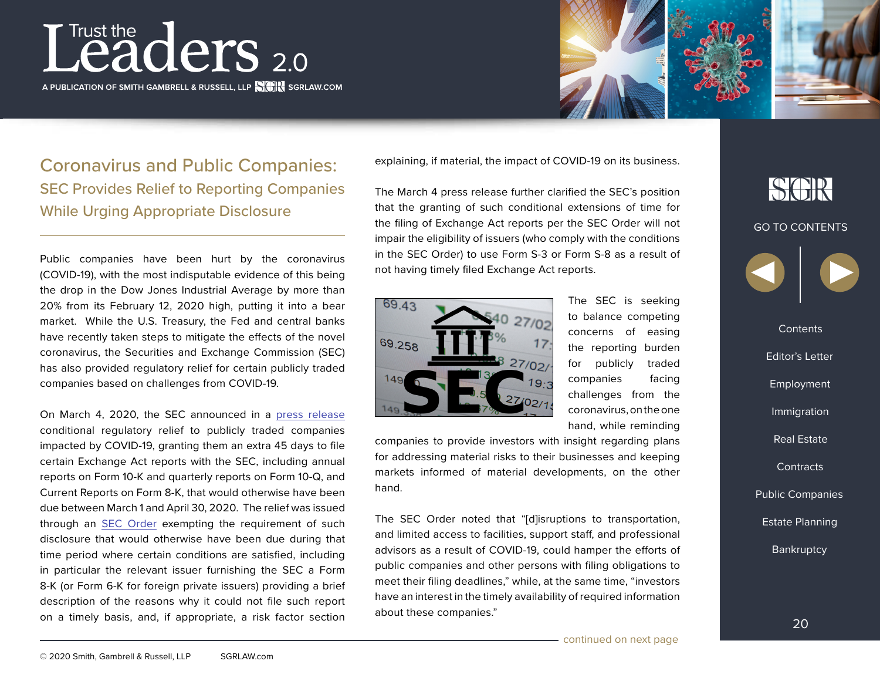# Leaders 2.0

A PUBLICATION OF SMITH GAMBRELL & RUSSELL, LLP **NAMES** SGRLAW.COM



### Coronavirus and Public Companies: SEC Provides Relief to Reporting Companies While Urging Appropriate Disclosure

Public companies have been hurt by the coronavirus (COVID-19), with the most indisputable evidence of this being the drop in the Dow Jones Industrial Average by more than 20% from its February 12, 2020 high, putting it into a bear market. While the U.S. Treasury, the Fed and central banks have recently taken steps to mitigate the effects of the novel coronavirus, the Securities and Exchange Commission (SEC) has also provided regulatory relief for certain publicly traded companies based on challenges from COVID-19.

On March 4, 2020, the SEC announced in a [press release](https://www.sec.gov/news/press-release/2020-53) conditional regulatory relief to publicly traded companies impacted by COVID-19, granting them an extra 45 days to file certain Exchange Act reports with the SEC, including annual reports on Form 10-K and quarterly reports on Form 10-Q, and Current Reports on Form 8-K, that would otherwise have been due between March 1 and April 30, 2020. The relief was issued through an [SEC Order](https://www.sec.gov/rules/other/2020/34-88318.pdf) exempting the requirement of such disclosure that would otherwise have been due during that time period where certain conditions are satisfied, including in particular the relevant issuer furnishing the SEC a Form 8-K (or Form 6-K for foreign private issuers) providing a brief description of the reasons why it could not file such report on a timely basis, and, if appropriate, a risk factor section

explaining, if material, the impact of COVID-19 on its business.

The March 4 press release further clarified the SEC's position that the granting of such conditional extensions of time for the filing of Exchange Act reports per the SEC Order will not impair the eligibility of issuers (who comply with the conditions in the SEC Order) to use Form S-3 or Form S-8 as a result of not having timely filed Exchange Act reports.



The SEC is seeking to balance competing concerns of easing the reporting burden for publicly traded companies facing challenges from the coronavirus, on the one hand, while reminding

companies to provide investors with insight regarding plans for addressing material risks to their businesses and keeping markets informed of material developments, on the other hand.

The SEC Order noted that "[d]isruptions to transportation, and limited access to facilities, support staff, and professional advisors as a result of COVID-19, could hamper the efforts of public companies and other persons with filing obligations to meet their filing deadlines," while, at the same time, "investors have an interest in the timely availability of required information about these companies."

### SGR

#### GO TO CONTENTS



**Contents** Editor's Letter Real Estate Employment<br>Immigration<br>Real Estate<br>Contracts Estate Planning Public Companies<br>Estate Planning<br>Bankruptcy